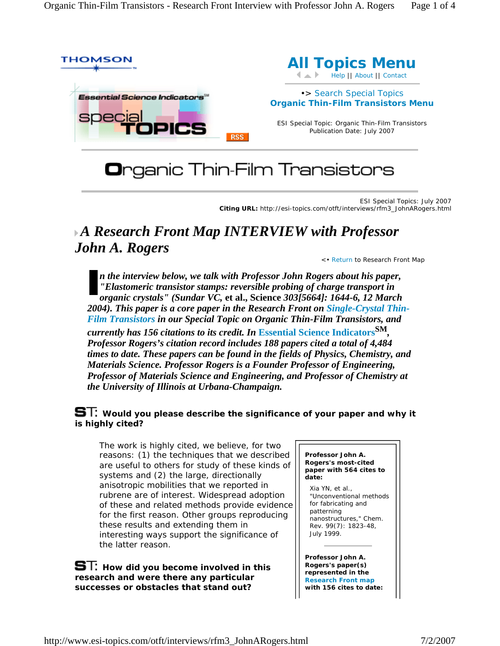

# **O**rganic Thin-Film Transistors

ESI Special Topics: July 2007 **Citing URL:** http://esi-topics.com/otft/interviews/rfm3\_JohnARogers.html

## *A Research Front Map INTERVIEW with Professor John A. Rogers*

<• Return to Research Front Map

*n the interview below, we talk with Professor John Rogers about his paper, "Elastomeric transistor stamps: reversible probing of charge transport in organic crystals" (Sundar VC,* **et al., Science** *303[5664]: 1644-6, 12 March 2004). This paper is a core paper in the Research Front on Single-Crystal Thin-Film Transistors in our Special Topic on Organic Thin-Film Transistors, and* 

*currently has 156 citations to its credit. In* **Essential Science IndicatorsSM***, Professor Rogers's citation record includes 188 papers cited a total of 4,484 times to date. These papers can be found in the fields of Physics, Chemistry, and Materials Science. Professor Rogers is a Founder Professor of Engineering, Professor of Materials Science and Engineering, and Professor of Chemistry at the University of Illinois at Urbana-Champaign.*

### **S**T: Would you please describe the significance of your paper and why it **is highly cited?**

The work is highly cited, we believe, for two reasons: (1) the techniques that we described are useful to others for study of these kinds of systems and (2) the large, directionally anisotropic mobilities that we reported in rubrene are of interest. Widespread adoption of these and related methods provide evidence for the first reason. Other groups reproducing these results and extending them in interesting ways support the significance of the latter reason.

**S**T: How did you become involved in this **research and were there any particular successes or obstacles that stand out?** 

#### *Professor John A. Rogers's most-cited paper with 564 cites to date:*

Xia YN, *et al.*, "Unconventional methods for fabricating and patterning nanostructures," *Chem. Rev*. 99(7): 1823-48, July 1999.

*Professor John A. Rogers's paper(s) represented in the Research Front map with 156 cites to date:*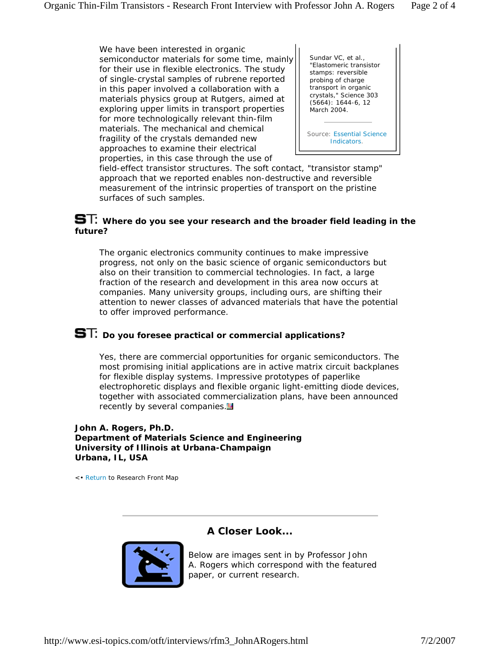We have been interested in organic semiconductor materials for some time, mainly for their use in flexible electronics. The study of single-crystal samples of rubrene reported in this paper involved a collaboration with a materials physics group at Rutgers, aimed at exploring upper limits in transport properties for more technologically relevant thin-film materials. The mechanical and chemical fragility of the crystals demanded new approaches to examine their electrical properties, in this case through the use of



field-effect transistor structures. The soft contact, "transistor stamp" approach that we reported enables non-destructive and reversible measurement of the intrinsic properties of transport on the pristine surfaces of such samples.

#### **ST:** Where do you see your research and the broader field leading in the **future?**

The organic electronics community continues to make impressive progress, not only on the basic science of organic semiconductors but also on their transition to commercial technologies. In fact, a large fraction of the research and development in this area now occurs at companies. Many university groups, including ours, are shifting their attention to newer classes of advanced materials that have the potential to offer improved performance.

## **ST:** Do you foresee practical or commercial applications?

Yes, there are commercial opportunities for organic semiconductors. The most promising initial applications are in active matrix circuit backplanes for flexible display systems. Impressive prototypes of paperlike electrophoretic displays and flexible organic light-emitting diode devices, together with associated commercialization plans, have been announced recently by several companies.<sup>14</sup>

#### **John A. Rogers, Ph.D. Department of Materials Science and Engineering University of Illinois at Urbana-Champaign Urbana, IL, USA**

<• Return to Research Front Map

### **A Closer Look...**



Below are images sent in by Professor John A. Rogers which correspond with the featured paper, or current research.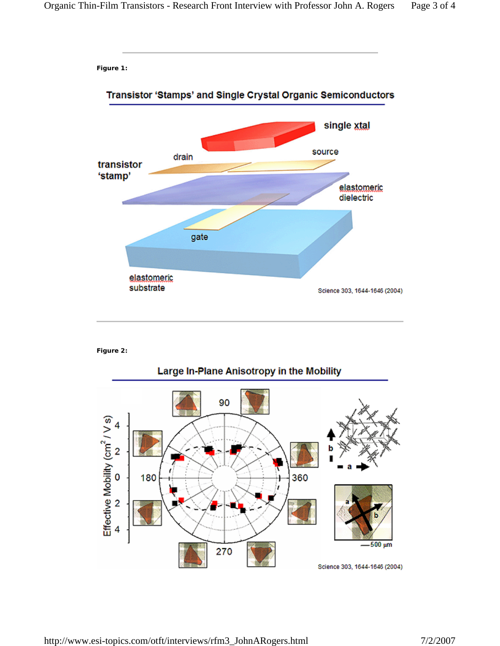**Figure 1:**



#### **Figure 2:**